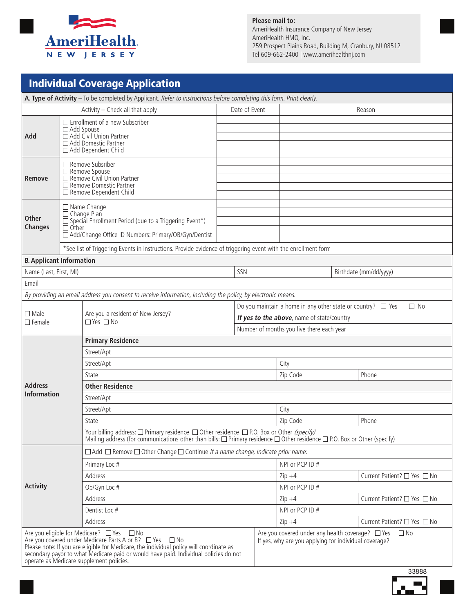

#### **Please mail to:** AmeriHealth Insurance Company of New Jersey AmeriHealth HMO, Inc. 259 Prospect Plains Road, Building M, Cranbury, NJ 08512 Tel 609-662-2400 | www.amerihealthnj.com

| <b>Individual Coverage Application</b>                                                                                                                                                                                                                                                                                                         |                                                                                                                                                                                                                                                                                            |                                                                                                                                                                                                                                                      |  |               |                                                                                                                             |                                                                                                                             |  |  |
|------------------------------------------------------------------------------------------------------------------------------------------------------------------------------------------------------------------------------------------------------------------------------------------------------------------------------------------------|--------------------------------------------------------------------------------------------------------------------------------------------------------------------------------------------------------------------------------------------------------------------------------------------|------------------------------------------------------------------------------------------------------------------------------------------------------------------------------------------------------------------------------------------------------|--|---------------|-----------------------------------------------------------------------------------------------------------------------------|-----------------------------------------------------------------------------------------------------------------------------|--|--|
| A. Type of Activity - To be completed by Applicant. Refer to instructions before completing this form. Print clearly.                                                                                                                                                                                                                          |                                                                                                                                                                                                                                                                                            |                                                                                                                                                                                                                                                      |  |               |                                                                                                                             |                                                                                                                             |  |  |
| Activity - Check all that apply                                                                                                                                                                                                                                                                                                                |                                                                                                                                                                                                                                                                                            |                                                                                                                                                                                                                                                      |  | Date of Event | Reason                                                                                                                      |                                                                                                                             |  |  |
| Add                                                                                                                                                                                                                                                                                                                                            | $\Box$ Enrollment of a new Subscriber<br>$\Box$ Add Spouse<br>Add Civil Union Partner<br>□ Add Domestic Partner<br>□ Add Dependent Child                                                                                                                                                   |                                                                                                                                                                                                                                                      |  |               |                                                                                                                             |                                                                                                                             |  |  |
| Remove                                                                                                                                                                                                                                                                                                                                         | $\Box$ Remove Subsriber<br>□ Remove Spouse<br>□ Remove Civil Union Partner<br>□ Remove Domestic Partner<br>Remove Dependent Child                                                                                                                                                          |                                                                                                                                                                                                                                                      |  |               |                                                                                                                             |                                                                                                                             |  |  |
| <b>Other</b><br><b>Changes</b>                                                                                                                                                                                                                                                                                                                 | □ Name Change<br>□ Change Plan<br>$\Box$ Special Enrollment Period (due to a Triggering Event*)<br>$\Box$ Other<br>□ Add/Change Office ID Numbers: Primary/OB/Gyn/Dentist<br>*See list of Triggering Events in instructions. Provide evidence of triggering event with the enrollment form |                                                                                                                                                                                                                                                      |  |               |                                                                                                                             |                                                                                                                             |  |  |
| <b>B. Applicant Information</b>                                                                                                                                                                                                                                                                                                                |                                                                                                                                                                                                                                                                                            |                                                                                                                                                                                                                                                      |  |               |                                                                                                                             |                                                                                                                             |  |  |
| Name (Last, First, MI)                                                                                                                                                                                                                                                                                                                         |                                                                                                                                                                                                                                                                                            |                                                                                                                                                                                                                                                      |  | SSN           |                                                                                                                             | Birthdate (mm/dd/yyyy)                                                                                                      |  |  |
| Email                                                                                                                                                                                                                                                                                                                                          |                                                                                                                                                                                                                                                                                            |                                                                                                                                                                                                                                                      |  |               |                                                                                                                             |                                                                                                                             |  |  |
|                                                                                                                                                                                                                                                                                                                                                |                                                                                                                                                                                                                                                                                            | By providing an email address you consent to receive information, including the policy, by electronic means.                                                                                                                                         |  |               |                                                                                                                             |                                                                                                                             |  |  |
| $\Box$ Male<br>$\Box$ Female                                                                                                                                                                                                                                                                                                                   |                                                                                                                                                                                                                                                                                            | Are you a resident of New Jersey?<br>$\Box$ Yes $\Box$ No                                                                                                                                                                                            |  |               | Do you maintain a home in any other state or country? $\Box$ Yes<br>$\Box$ No<br>If yes to the above, name of state/country |                                                                                                                             |  |  |
|                                                                                                                                                                                                                                                                                                                                                |                                                                                                                                                                                                                                                                                            | Number of months you live there each year                                                                                                                                                                                                            |  |               |                                                                                                                             |                                                                                                                             |  |  |
|                                                                                                                                                                                                                                                                                                                                                |                                                                                                                                                                                                                                                                                            | <b>Primary Residence</b>                                                                                                                                                                                                                             |  |               |                                                                                                                             |                                                                                                                             |  |  |
|                                                                                                                                                                                                                                                                                                                                                |                                                                                                                                                                                                                                                                                            | Street/Apt<br>Street/Apt                                                                                                                                                                                                                             |  |               | City                                                                                                                        |                                                                                                                             |  |  |
|                                                                                                                                                                                                                                                                                                                                                |                                                                                                                                                                                                                                                                                            | State                                                                                                                                                                                                                                                |  |               | Zip Code                                                                                                                    | Phone                                                                                                                       |  |  |
| <b>Address</b>                                                                                                                                                                                                                                                                                                                                 |                                                                                                                                                                                                                                                                                            | <b>Other Residence</b>                                                                                                                                                                                                                               |  |               |                                                                                                                             |                                                                                                                             |  |  |
| <b>Information</b>                                                                                                                                                                                                                                                                                                                             |                                                                                                                                                                                                                                                                                            | Street/Apt                                                                                                                                                                                                                                           |  |               |                                                                                                                             |                                                                                                                             |  |  |
|                                                                                                                                                                                                                                                                                                                                                |                                                                                                                                                                                                                                                                                            | Street/Apt<br>City                                                                                                                                                                                                                                   |  |               |                                                                                                                             |                                                                                                                             |  |  |
|                                                                                                                                                                                                                                                                                                                                                |                                                                                                                                                                                                                                                                                            | State                                                                                                                                                                                                                                                |  |               | Zip Code                                                                                                                    | Phone                                                                                                                       |  |  |
|                                                                                                                                                                                                                                                                                                                                                |                                                                                                                                                                                                                                                                                            | Your billing address: $\Box$ Primary residence $\Box$ Other residence $\Box$ P.O. Box or Other (specify)<br>Mailing address (for communications other than bills: $\Box$ Primary residence $\Box$ Other residence $\Box$ P.O. Box or Other (specify) |  |               |                                                                                                                             |                                                                                                                             |  |  |
|                                                                                                                                                                                                                                                                                                                                                |                                                                                                                                                                                                                                                                                            | $\Box$ Add $\Box$ Remove $\Box$ Other Change $\Box$ Continue If a name change, indicate prior name:                                                                                                                                                  |  |               |                                                                                                                             |                                                                                                                             |  |  |
| <b>Activity</b>                                                                                                                                                                                                                                                                                                                                |                                                                                                                                                                                                                                                                                            | Primary Loc #                                                                                                                                                                                                                                        |  |               | NPI or PCP ID #                                                                                                             |                                                                                                                             |  |  |
|                                                                                                                                                                                                                                                                                                                                                |                                                                                                                                                                                                                                                                                            | Address                                                                                                                                                                                                                                              |  |               | $Zip + 4$                                                                                                                   | Current Patient? □ Yes □ No                                                                                                 |  |  |
|                                                                                                                                                                                                                                                                                                                                                |                                                                                                                                                                                                                                                                                            | Ob/Gyn Loc #                                                                                                                                                                                                                                         |  |               | NPI or PCP ID #                                                                                                             |                                                                                                                             |  |  |
|                                                                                                                                                                                                                                                                                                                                                |                                                                                                                                                                                                                                                                                            | Address                                                                                                                                                                                                                                              |  |               | $Zip +4$                                                                                                                    | Current Patient? □ Yes □ No                                                                                                 |  |  |
|                                                                                                                                                                                                                                                                                                                                                |                                                                                                                                                                                                                                                                                            | Dentist Loc #                                                                                                                                                                                                                                        |  |               | NPI or PCP ID #                                                                                                             |                                                                                                                             |  |  |
|                                                                                                                                                                                                                                                                                                                                                |                                                                                                                                                                                                                                                                                            | Address                                                                                                                                                                                                                                              |  |               | $Zip +4$                                                                                                                    | Current Patient? □ Yes □ No                                                                                                 |  |  |
| Are you eligible for Medicare? □ Yes □ No<br>Are you covered under Medicare Parts A or B? □ Yes<br>$\square$ No<br>Please note: If you are eligible for Medicare, the individual policy will coordinate as<br>secondary payor to what Medicare paid or would have paid. Individual policies do not<br>operate as Medicare supplement policies. |                                                                                                                                                                                                                                                                                            |                                                                                                                                                                                                                                                      |  |               |                                                                                                                             | Are you covered under any health coverage? $\Box$ Yes<br>$\Box$ No<br>If yes, why are you applying for individual coverage? |  |  |

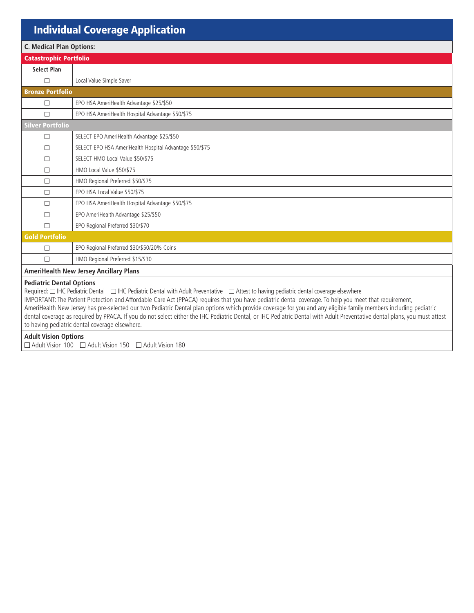# Individual Coverage Application

| <b>C. Medical Plan Options:</b>                                                                                                                                                                                                                                                                                                              |                                                         |  |  |  |  |
|----------------------------------------------------------------------------------------------------------------------------------------------------------------------------------------------------------------------------------------------------------------------------------------------------------------------------------------------|---------------------------------------------------------|--|--|--|--|
| <b>Catastrophic Portfolio</b>                                                                                                                                                                                                                                                                                                                |                                                         |  |  |  |  |
| <b>Select Plan</b>                                                                                                                                                                                                                                                                                                                           |                                                         |  |  |  |  |
| П                                                                                                                                                                                                                                                                                                                                            | Local Value Simple Saver                                |  |  |  |  |
| <b>Bronze Portfolio</b>                                                                                                                                                                                                                                                                                                                      |                                                         |  |  |  |  |
| $\Box$                                                                                                                                                                                                                                                                                                                                       | EPO HSA AmeriHealth Advantage \$25/\$50                 |  |  |  |  |
| $\Box$                                                                                                                                                                                                                                                                                                                                       | EPO HSA AmeriHealth Hospital Advantage \$50/\$75        |  |  |  |  |
| <b>Silver Portfolio</b>                                                                                                                                                                                                                                                                                                                      |                                                         |  |  |  |  |
| $\Box$                                                                                                                                                                                                                                                                                                                                       | SELECT EPO AmeriHealth Advantage \$25/\$50              |  |  |  |  |
| $\Box$                                                                                                                                                                                                                                                                                                                                       | SELECT EPO HSA AmeriHealth Hospital Advantage \$50/\$75 |  |  |  |  |
| П                                                                                                                                                                                                                                                                                                                                            | SELECT HMO Local Value \$50/\$75                        |  |  |  |  |
| П                                                                                                                                                                                                                                                                                                                                            | HMO Local Value \$50/\$75                               |  |  |  |  |
| $\Box$                                                                                                                                                                                                                                                                                                                                       | HMO Regional Preferred \$50/\$75                        |  |  |  |  |
| П                                                                                                                                                                                                                                                                                                                                            | EPO HSA Local Value \$50/\$75                           |  |  |  |  |
| $\Box$                                                                                                                                                                                                                                                                                                                                       | EPO HSA AmeriHealth Hospital Advantage \$50/\$75        |  |  |  |  |
| $\Box$                                                                                                                                                                                                                                                                                                                                       | EPO AmeriHealth Advantage \$25/\$50                     |  |  |  |  |
| $\Box$                                                                                                                                                                                                                                                                                                                                       | EPO Regional Preferred \$30/\$70                        |  |  |  |  |
| <b>Gold Portfolio</b>                                                                                                                                                                                                                                                                                                                        |                                                         |  |  |  |  |
| $\Box$                                                                                                                                                                                                                                                                                                                                       | EPO Regional Preferred \$30/\$50/20% Coins              |  |  |  |  |
| $\Box$                                                                                                                                                                                                                                                                                                                                       | HMO Regional Preferred \$15/\$30                        |  |  |  |  |
| <b>AmeriHealth New Jersey Ancillary Plans</b>                                                                                                                                                                                                                                                                                                |                                                         |  |  |  |  |
| <b>Pediatric Dental Options</b><br>Required: [2011] IHC Pediatric Dental 2011 IHC Pediatric Dental with Adult Preventative 20 Attest to having pediatric dental coverage elsewhere<br>IMPORTANT: The Patient Protection and Affordable Care Act (PPACA) requires that you have pediatric dental coverage. To help you meet that requirement, |                                                         |  |  |  |  |

AmeriHealth New Jersey has pre-selected our two Pediatric Dental plan options which provide coverage for you and any eligible family members including pediatric dental coverage as required by PPACA. If you do not select either the IHC Pediatric Dental, or IHC Pediatric Dental with Adult Preventative dental plans, you must attest to having pediatric dental coverage elsewhere.

**Adult Vision Options** 

Adult Vision 100 Adult Vision 150 Adult Vision 180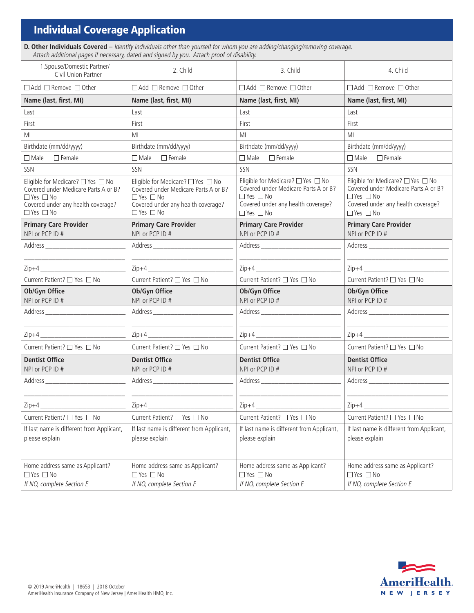## Individual Coverage Application

I

**D. Other Individuals Covered** – Identify individuals other than yourself for whom you are adding/changing/removing coverage. Attach additional pages if necessary, dated and signed by you. Attach proof of disability.

| 1. Spouse/Domestic Partner/<br>Civil Union Partner                                                                                                                                                                              | 2. Child                                                                                                                                              | 3. Child                                                                                                                                                        | 4. Child                                                                                                                                                                                                                       |
|---------------------------------------------------------------------------------------------------------------------------------------------------------------------------------------------------------------------------------|-------------------------------------------------------------------------------------------------------------------------------------------------------|-----------------------------------------------------------------------------------------------------------------------------------------------------------------|--------------------------------------------------------------------------------------------------------------------------------------------------------------------------------------------------------------------------------|
| $\Box$ Add $\Box$ Remove $\Box$ Other                                                                                                                                                                                           | $\Box$ Add $\Box$ Remove $\Box$ Other                                                                                                                 | $\Box$ Add $\Box$ Remove $\Box$ Other                                                                                                                           | □ Add □ Remove □ Other                                                                                                                                                                                                         |
| Name (last, first, MI)                                                                                                                                                                                                          | Name (last, first, MI)                                                                                                                                | Name (last, first, MI)                                                                                                                                          | Name (last, first, MI)                                                                                                                                                                                                         |
| Last                                                                                                                                                                                                                            | Last                                                                                                                                                  | Last                                                                                                                                                            | Last                                                                                                                                                                                                                           |
| First                                                                                                                                                                                                                           | First                                                                                                                                                 | First                                                                                                                                                           | First                                                                                                                                                                                                                          |
| MI                                                                                                                                                                                                                              | ΜI                                                                                                                                                    | MI                                                                                                                                                              | MI                                                                                                                                                                                                                             |
| Birthdate (mm/dd/yyyy)                                                                                                                                                                                                          | Birthdate (mm/dd/yyyy)                                                                                                                                | Birthdate (mm/dd/yyyy)                                                                                                                                          | Birthdate (mm/dd/yyyy)                                                                                                                                                                                                         |
| $\Box$ Male $\Box$ Female                                                                                                                                                                                                       | $\Box$ Female<br>$\square$ Male                                                                                                                       | $\Box$ Male $\Box$ Female                                                                                                                                       | $\Box$ Female<br>$\square$ Male                                                                                                                                                                                                |
| SSN                                                                                                                                                                                                                             | SSN                                                                                                                                                   | SSN                                                                                                                                                             | SSN                                                                                                                                                                                                                            |
| Eliqible for Medicare? $\square$ Yes $\square$ No<br>Covered under Medicare Parts A or B?<br>$\Box$ Yes $\Box$ No<br>Covered under any health coverage?<br>$\Box$ Yes $\Box$ No                                                 | Eligible for Medicare? □ Yes □ No<br>Covered under Medicare Parts A or B?<br>□ Yes □ No<br>Covered under any health coverage?<br>$\Box$ Yes $\Box$ No | Eligible for Medicare? □ Yes □ No<br>Covered under Medicare Parts A or B?<br>$\Box$ Yes $\Box$ No<br>Covered under any health coverage?<br>$\Box$ Yes $\Box$ No | Eligible for Medicare? $\square$ Yes $\square$ No<br>Covered under Medicare Parts A or B?<br>□ Yes □ No<br>Covered under any health coverage?<br>$\Box$ Yes $\Box$ No                                                          |
| <b>Primary Care Provider</b><br>NPI or PCP ID #                                                                                                                                                                                 | <b>Primary Care Provider</b><br>NPI or PCP ID #                                                                                                       | <b>Primary Care Provider</b><br>NPI or PCP ID #                                                                                                                 | <b>Primary Care Provider</b><br>NPI or PCP ID #                                                                                                                                                                                |
| Address and the state of the state of the state of the state of the state of the state of the state of the state of the state of the state of the state of the state of the state of the state of the state of the state of the |                                                                                                                                                       |                                                                                                                                                                 | Address and the state of the state of the state of the state of the state of the state of the state of the state of the state of the state of the state of the state of the state of the state of the state of the state of th |
|                                                                                                                                                                                                                                 |                                                                                                                                                       |                                                                                                                                                                 |                                                                                                                                                                                                                                |
|                                                                                                                                                                                                                                 |                                                                                                                                                       |                                                                                                                                                                 |                                                                                                                                                                                                                                |
| Current Patient? □ Yes □ No                                                                                                                                                                                                     | Current Patient? □ Yes □ No                                                                                                                           | Current Patient? □ Yes □ No                                                                                                                                     | Current Patient? □ Yes □ No                                                                                                                                                                                                    |
| Ob/Gyn Office<br>NPI or PCP ID #                                                                                                                                                                                                | Ob/Gyn Office<br>NPI or PCP ID #                                                                                                                      | Ob/Gyn Office<br>NPI or PCP ID #                                                                                                                                | Ob/Gyn Office<br>NPI or PCP ID #                                                                                                                                                                                               |
|                                                                                                                                                                                                                                 |                                                                                                                                                       |                                                                                                                                                                 |                                                                                                                                                                                                                                |
|                                                                                                                                                                                                                                 |                                                                                                                                                       |                                                                                                                                                                 |                                                                                                                                                                                                                                |
| Current Patient? □ Yes □ No                                                                                                                                                                                                     | Current Patient? □ Yes □ No                                                                                                                           | Current Patient? □ Yes □ No                                                                                                                                     | Current Patient? □ Yes □ No                                                                                                                                                                                                    |
| <b>Dentist Office</b><br>NPI or PCP ID #                                                                                                                                                                                        | <b>Dentist Office</b><br>NPI or PCP ID #                                                                                                              | <b>Dentist Office</b><br>NPI or PCP ID #                                                                                                                        | <b>Dentist Office</b><br>NPI or PCP ID #                                                                                                                                                                                       |
|                                                                                                                                                                                                                                 |                                                                                                                                                       |                                                                                                                                                                 |                                                                                                                                                                                                                                |
| $Zip+4$                                                                                                                                                                                                                         | $Zip+4$                                                                                                                                               | $Zip+4$                                                                                                                                                         | $Zip+4$                                                                                                                                                                                                                        |
| Current Patient? □ Yes □ No                                                                                                                                                                                                     | Current Patient? □ Yes □ No                                                                                                                           | Current Patient? □ Yes □ No                                                                                                                                     | Current Patient? □ Yes □ No                                                                                                                                                                                                    |
| If last name is different from Applicant,<br>please explain                                                                                                                                                                     | If last name is different from Applicant,<br>please explain                                                                                           | If last name is different from Applicant,<br>please explain                                                                                                     | If last name is different from Applicant,<br>please explain                                                                                                                                                                    |
| Home address same as Applicant?<br>□ Yes □ No<br>If NO, complete Section E                                                                                                                                                      | Home address same as Applicant?<br>□ Yes □ No<br>If NO, complete Section E                                                                            | Home address same as Applicant?<br>$\Box$ Yes $\Box$ No<br>If NO, complete Section E                                                                            | Home address same as Applicant?<br>□ Yes □ No<br>If NO, complete Section E                                                                                                                                                     |

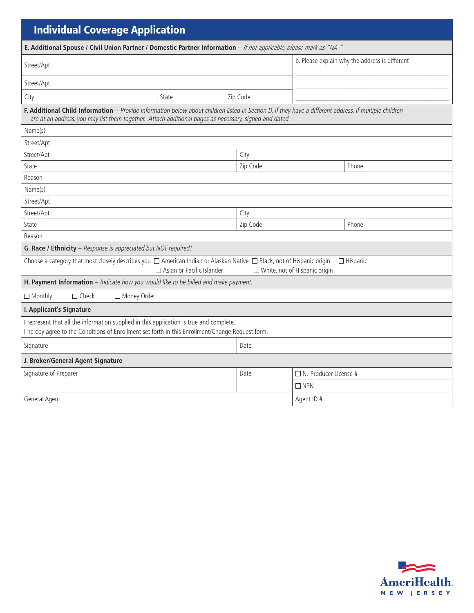| <b>Individual Coverage Application</b>                                                                                                                                                                                                                           |                                                |          |                              |       |  |  |  |  |
|------------------------------------------------------------------------------------------------------------------------------------------------------------------------------------------------------------------------------------------------------------------|------------------------------------------------|----------|------------------------------|-------|--|--|--|--|
| E. Additional Spouse / Civil Union Partner / Domestic Partner Information - If not applicable, please mark as "NA."                                                                                                                                              |                                                |          |                              |       |  |  |  |  |
| Street/Apt                                                                                                                                                                                                                                                       | b. Please explain why the address is different |          |                              |       |  |  |  |  |
| Street/Apt                                                                                                                                                                                                                                                       |                                                |          |                              |       |  |  |  |  |
| City                                                                                                                                                                                                                                                             | Zip Code<br>State                              |          |                              |       |  |  |  |  |
| F. Additional Child Information - Provide information below about children listed in Section D, if they have a different address. If multiple children<br>are at an address, you may list them together. Attach additional pages as necessary, signed and dated. |                                                |          |                              |       |  |  |  |  |
| Name(s)                                                                                                                                                                                                                                                          |                                                |          |                              |       |  |  |  |  |
| Street/Apt                                                                                                                                                                                                                                                       |                                                |          |                              |       |  |  |  |  |
| Street/Apt                                                                                                                                                                                                                                                       |                                                | City     |                              |       |  |  |  |  |
| State                                                                                                                                                                                                                                                            |                                                | Zip Code |                              | Phone |  |  |  |  |
| Reason                                                                                                                                                                                                                                                           |                                                |          |                              |       |  |  |  |  |
| Name(s)                                                                                                                                                                                                                                                          |                                                |          |                              |       |  |  |  |  |
| Street/Apt                                                                                                                                                                                                                                                       |                                                |          |                              |       |  |  |  |  |
| Street/Apt                                                                                                                                                                                                                                                       |                                                | City     |                              |       |  |  |  |  |
| State                                                                                                                                                                                                                                                            |                                                | Zip Code |                              | Phone |  |  |  |  |
| Reason                                                                                                                                                                                                                                                           |                                                |          |                              |       |  |  |  |  |
| G. Race / Ethnicity - Response is appreciated but NOT required!                                                                                                                                                                                                  |                                                |          |                              |       |  |  |  |  |
| Choose a category that most closely describes you $\Box$ American Indian or Alaskan Native $\Box$ Black, not of Hispanic origin<br>$\Box$ Hispanic<br>□ Asian or Pacific Islander<br>□ White, not of Hispanic origin                                             |                                                |          |                              |       |  |  |  |  |
| H. Payment Information - Indicate how you would like to be billed and make payment.                                                                                                                                                                              |                                                |          |                              |       |  |  |  |  |
| $\Box$ Monthly<br>$\Box$ Check<br>□ Money Order                                                                                                                                                                                                                  |                                                |          |                              |       |  |  |  |  |
| I. Applicant's Signature                                                                                                                                                                                                                                         |                                                |          |                              |       |  |  |  |  |
| I represent that all the information supplied in this application is true and complete.<br>I hereby agree to the Conditions of Enrollment set forth in this Enrollment/Change Request form.                                                                      |                                                |          |                              |       |  |  |  |  |
| Signature                                                                                                                                                                                                                                                        |                                                | Date     |                              |       |  |  |  |  |
| J. Broker/General Agent Signature                                                                                                                                                                                                                                |                                                |          |                              |       |  |  |  |  |
| Signature of Preparer                                                                                                                                                                                                                                            |                                                | Date     | $\Box$ NJ Producer License # |       |  |  |  |  |
|                                                                                                                                                                                                                                                                  |                                                |          | $\Box$ NPN                   |       |  |  |  |  |
| General Agent                                                                                                                                                                                                                                                    | Agent ID #                                     |          |                              |       |  |  |  |  |